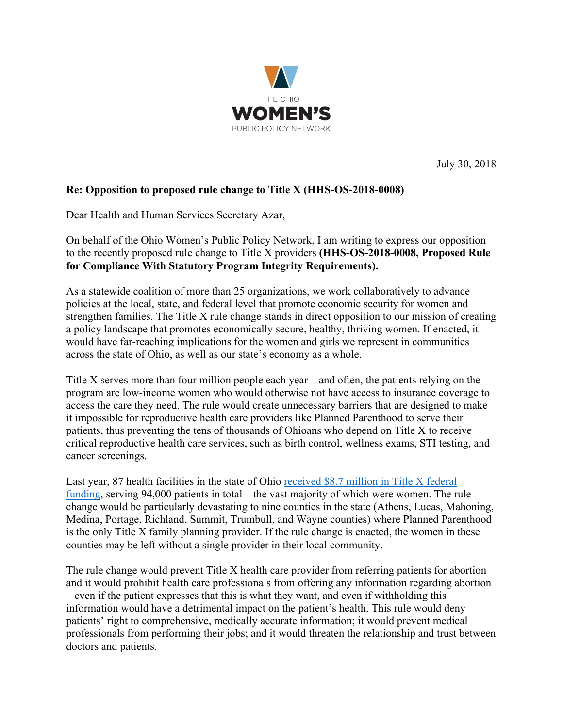

July 30, 2018

## **Re: Opposition to proposed rule change to Title X (HHS-OS-2018-0008)**

Dear Health and Human Services Secretary Azar,

On behalf of the Ohio Women's Public Policy Network, I am writing to express our opposition to the recently proposed rule change to Title X providers **(HHS-OS-2018-0008, Proposed Rule for Compliance With Statutory Program Integrity Requirements).**

As a statewide coalition of more than 25 organizations, we work collaboratively to advance policies at the local, state, and federal level that promote economic security for women and strengthen families. The Title X rule change stands in direct opposition to our mission of creating a policy landscape that promotes economically secure, healthy, thriving women. If enacted, it would have far-reaching implications for the women and girls we represent in communities across the state of Ohio, as well as our state's economy as a whole.

Title X serves more than four million people each year – and often, the patients relying on the program are low-income women who would otherwise not have access to insurance coverage to access the care they need. The rule would create unnecessary barriers that are designed to make it impossible for reproductive health care providers like Planned Parenthood to serve their patients, thus preventing the tens of thousands of Ohioans who depend on Title X to receive critical reproductive health care services, such as birth control, wellness exams, STI testing, and cancer screenings.

Last year, 87 health facilities in the state of Ohio received \$8.7 million in Title X federal funding, serving 94,000 patients in total – the vast majority of which were women. The rule change would be particularly devastating to nine counties in the state (Athens, Lucas, Mahoning, Medina, Portage, Richland, Summit, Trumbull, and Wayne counties) where Planned Parenthood is the only Title X family planning provider. If the rule change is enacted, the women in these counties may be left without a single provider in their local community.

The rule change would prevent Title X health care provider from referring patients for abortion and it would prohibit health care professionals from offering any information regarding abortion – even if the patient expresses that this is what they want, and even if withholding this information would have a detrimental impact on the patient's health. This rule would deny patients' right to comprehensive, medically accurate information; it would prevent medical professionals from performing their jobs; and it would threaten the relationship and trust between doctors and patients.